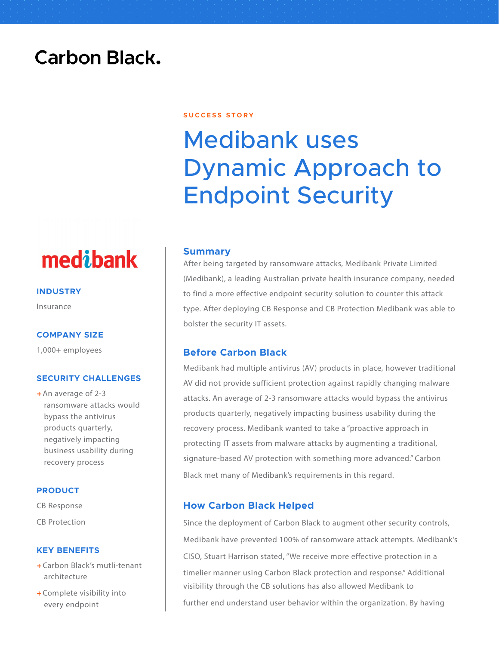### **Carbon Black.**

#### **S U C C E S S S T O R Y**

# Medibank uses Dynamic Approach to Endpoint Security

#### **Summary**

After being targeted by ransomware attacks, Medibank Private Limited (Medibank), a leading Australian private health insurance company, needed to find a more effective endpoint security solution to counter this attack type. After deploying CB Response and CB Protection Medibank was able to bolster the security IT assets.

#### **Before Carbon Black**

Medibank had multiple antivirus (AV) products in place, however traditional AV did not provide sufficient protection against rapidly changing malware attacks. An average of 2-3 ransomware attacks would bypass the antivirus products quarterly, negatively impacting business usability during the recovery process. Medibank wanted to take a "proactive approach in protecting IT assets from malware attacks by augmenting a traditional, signature-based AV protection with something more advanced." Carbon Black met many of Medibank's requirements in this regard.

#### **How Carbon Black Helped**

Since the deployment of Carbon Black to augment other security controls, Medibank have prevented 100% of ransomware attack attempts. Medibank's CISO, Stuart Harrison stated, "We receive more effective protection in a timelier manner using Carbon Black protection and response." Additional visibility through the CB solutions has also allowed Medibank to further end understand user behavior within the organization. By having

## medibank

**INDUSTRY**

Insurance

#### **COMPANY SIZE**

1,000+ employees

#### **SECURITY CHALLENGES**

 $+$ An average of 2-3 ransomware attacks would bypass the antivirus products quarterly, negatively impacting business usability during recovery process

#### **PRODUCT**

CB Response

CB Protection

#### **KEY BENEFITS**

- + Carbon Black's mutli-tenant architecture
- + Complete visibility into every endpoint